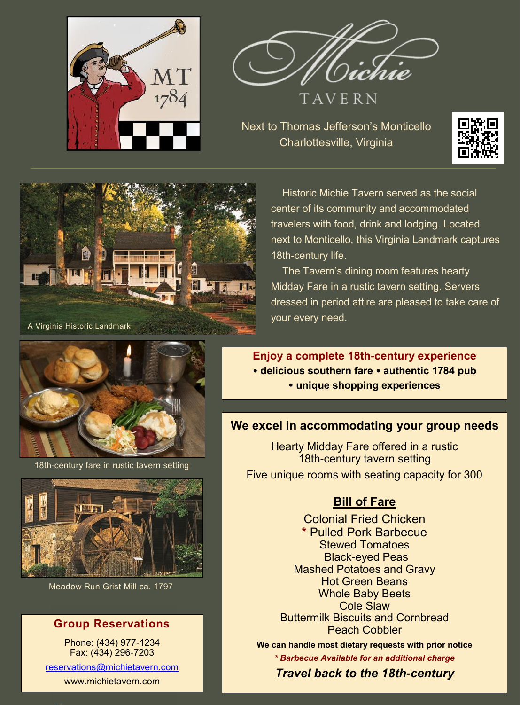



TAVERN

Next to Thomas Jefferson's Monticello Charlottesville, Virginia





Historic Michie Tavern served as the social center of its community and accommodated travelers with food, drink and lodging. Located next to Monticello, this Virginia Landmark captures 18th-century life.

 The Tavern's dining room features hearty Midday Fare in a rustic tavern setting. Servers dressed in period attire are pleased to take care of your every need.

**Enjoy a complete 18th-century experience delicious southern fare authentic 1784 pub unique shopping experiences**

### **We excel in accommodating your group needs**

Hearty Midday Fare offered in a rustic 18th-century tavern setting Five unique rooms with seating capacity for 300

# **Bill of Fare**

Colonial Fried Chicken **\*** Pulled Pork Barbecue Stewed Tomatoes Black-eyed Peas Mashed Potatoes and Gravy Hot Green Beans Whole Baby Beets Cole Slaw Buttermilk Biscuits and Cornbread Peach Cobbler

**We can handle most dietary requests with prior notice** *\* Barbecue Available for an additional charge* 

*Travel back to the 18th-century* 



18th-century fare in rustic tavern setting



Meadow Run Grist Mill ca. 1797

## **Group Reservations**

Phone: (434) 977-1234 Fax: (434) 296-7203 [reservations@michietavern.com](mailto:reservations@michietavern.com)

www.michietavern.com